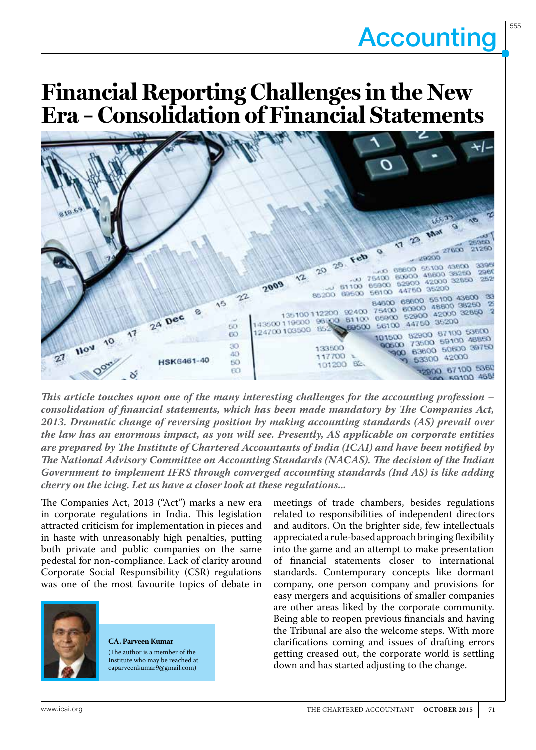# Accounting

### **Financial Reporting Challenges in the New Era – Consolidation of Financial Statements**



*This article touches upon one of the many interesting challenges for the accounting profession – consolidation of financial statements, which has been made mandatory by The Companies Act, 2013. Dramatic change of reversing position by making accounting standards (AS) prevail over the law has an enormous impact, as you will see. Presently, AS applicable on corporate entities are prepared by The Institute of Chartered Accountants of India (ICAI) and have been notified by The National Advisory Committee on Accounting Standards (NACAS). The decision of the Indian Government to implement IFRS through converged accounting standards (Ind AS) is like adding cherry on the icing. Let us have a closer look at these regulations...*

The Companies Act, 2013 ("Act") marks a new era in corporate regulations in India. This legislation attracted criticism for implementation in pieces and in haste with unreasonably high penalties, putting both private and public companies on the same pedestal for non-compliance. Lack of clarity around Corporate Social Responsibility (CSR) regulations was one of the most favourite topics of debate in



**CA. Parveen Kumar** (The author is a member of the Institute who may be reached at caparveenkumar9@gmail.com)

meetings of trade chambers, besides regulations related to responsibilities of independent directors and auditors. On the brighter side, few intellectuals appreciated a rule-based approach bringing flexibility into the game and an attempt to make presentation of financial statements closer to international standards. Contemporary concepts like dormant company, one person company and provisions for easy mergers and acquisitions of smaller companies are other areas liked by the corporate community. Being able to reopen previous financials and having the Tribunal are also the welcome steps. With more clarifications coming and issues of drafting errors getting creased out, the corporate world is settling down and has started adjusting to the change.

555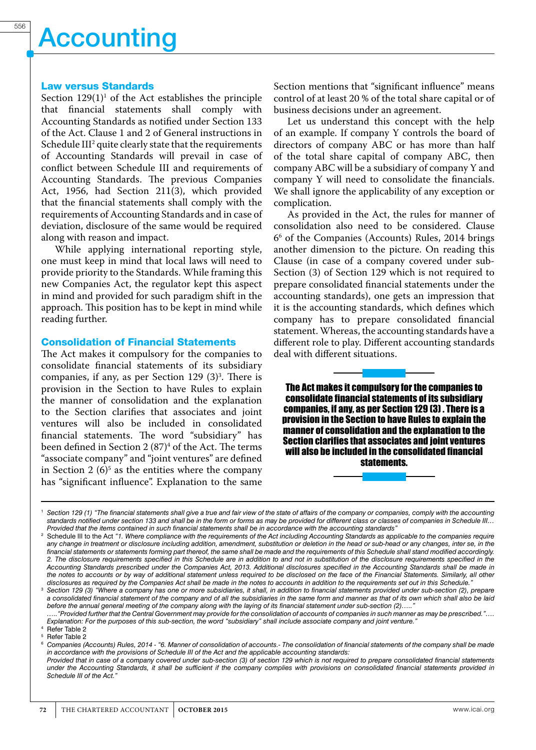## **Accounting**

#### Law versus Standards

Section  $129(1)^1$  of the Act establishes the principle that financial statements shall comply with Accounting Standards as notified under Section 133 of the Act. Clause 1 and 2 of General instructions in Schedule III2 quite clearly state that the requirements of Accounting Standards will prevail in case of conflict between Schedule III and requirements of Accounting Standards. The previous Companies Act, 1956, had Section 211(3), which provided that the financial statements shall comply with the requirements of Accounting Standards and in case of deviation, disclosure of the same would be required along with reason and impact.

While applying international reporting style, one must keep in mind that local laws will need to provide priority to the Standards. While framing this new Companies Act, the regulator kept this aspect in mind and provided for such paradigm shift in the approach. This position has to be kept in mind while reading further.

#### Consolidation of Financial Statements

The Act makes it compulsory for the companies to consolidate financial statements of its subsidiary companies, if any, as per Section  $129$   $(3)^3$ . There is provision in the Section to have Rules to explain the manner of consolidation and the explanation to the Section clarifies that associates and joint ventures will also be included in consolidated financial statements. The word "subsidiary" has been defined in Section 2 (87)4 of the Act. The terms "associate company" and "joint ventures" are defined in Section 2  $(6)^5$  as the entities where the company has "significant influence". Explanation to the same

Section mentions that "significant influence" means control of at least 20 % of the total share capital or of business decisions under an agreement.

Let us understand this concept with the help of an example. If company Y controls the board of directors of company ABC or has more than half of the total share capital of company ABC, then company ABC will be a subsidiary of company Y and company Y will need to consolidate the financials. We shall ignore the applicability of any exception or complication.

As provided in the Act, the rules for manner of consolidation also need to be considered. Clause 66 of the Companies (Accounts) Rules, 2014 brings another dimension to the picture. On reading this Clause (in case of a company covered under sub-Section (3) of Section 129 which is not required to prepare consolidated financial statements under the accounting standards), one gets an impression that it is the accounting standards, which defines which company has to prepare consolidated financial statement. Whereas, the accounting standards have a different role to play. Different accounting standards deal with different situations.

The Act makes it compulsory for the companies to consolidate financial statements of its subsidiary companies, if any, as per Section 129 (3) . There is a provision in the Section to have Rules to explain the manner of consolidation and the explanation to the Section clarifies that associates and joint ventures will also be included in the consolidated financial statements.

*….."Provided further that the Central Government may provide for the consolidation of accounts of companies in such manner as may be prescribed."…. Explanation: For the purposes of this sub-section, the word "subsidiary" shall include associate company and joint venture."*

<sup>1</sup> *Section 129 (1) "The financial statements shall give a true and fair view of the state of affairs of the company or companies, comply with the accounting standards notified under section 133 and shall be in the form or forms as may be provided for different class or classes of companies in Schedule III… Provided that the items contained in such financial statements shall be in accordance with the accounting standards"*

<sup>&</sup>lt;sup>2</sup> Schedule III to the Act "1. Where compliance with the requirements of the Act including Accounting Standards as applicable to the companies require *any change in treatment or disclosure including addition, amendment, substitution or deletion in the head or sub-head or any changes, inter se, in the financial statements or statements forming part thereof, the same shall be made and the requirements of this Schedule shall stand modified accordingly. 2. The disclosure requirements specified in this Schedule are in addition to and not in substitution of the disclosure requirements specified in the Accounting Standards prescribed under the Companies Act, 2013. Additional disclosures specified in the Accounting Standards shall be made in*  the notes to accounts or by way of additional statement unless required to be disclosed on the face of the Financial Statements. Similarly, all other *disclosures as required by the Companies Act shall be made in the notes to accounts in addition to the requirements set out in this Schedule."*

<sup>3</sup> *Section 129 (3) "Where a company has one or more subsidiaries, it shall, in addition to financial statements provided under sub-section (2), prepare a consolidated financial statement of the company and of all the subsidiaries in the same form and manner as that of its own which shall also be laid before the annual general meeting of the company along with the laying of its financial statement under sub-section (2)….."* 

<sup>4</sup> Refer Table 2

 $5$  Refer Table 2 <sup>6</sup> *Companies (Accounts) Rules, 2014 - "6. Manner of consolidation of accounts.- The consolidation of financial statements of the company shall be made in accordance with the provisions of Schedule III of the Act and the applicable accounting standards:* 

*Provided that in case of a company covered under sub-section (3) of section 129 which is not required to prepare consolidated financial statements*  under the Accounting Standards, it shall be sufficient if the company complies with provisions on consolidated financial statements provided in Schedule *III* of the Act.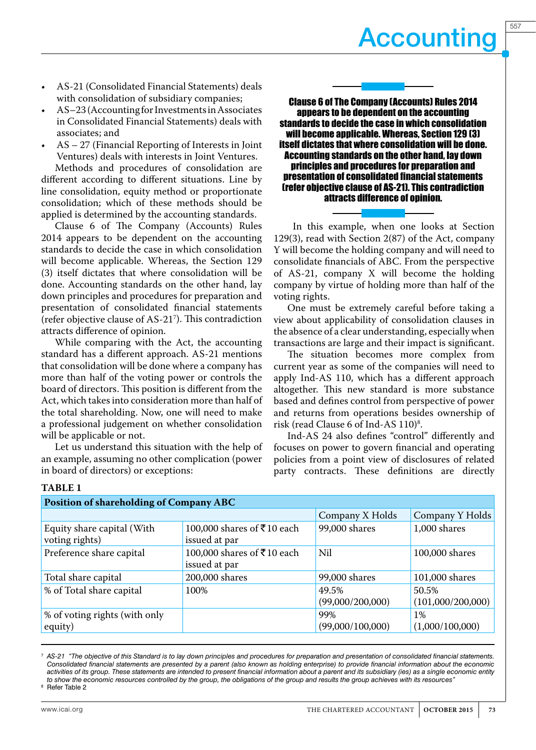Accounting

557

- AS-21 (Consolidated Financial Statements) deals with consolidation of subsidiary companies;
- AS–23 (Accounting for Investments in Associates in Consolidated Financial Statements) deals with associates; and
- $AS 27$  (Financial Reporting of Interests in Joint Ventures) deals with interests in Joint Ventures.

Methods and procedures of consolidation are different according to different situations. Line by line consolidation, equity method or proportionate consolidation; which of these methods should be applied is determined by the accounting standards.

Clause 6 of The Company (Accounts) Rules 2014 appears to be dependent on the accounting standards to decide the case in which consolidation will become applicable. Whereas, the Section 129 (3) itself dictates that where consolidation will be done. Accounting standards on the other hand, lay down principles and procedures for preparation and presentation of consolidated financial statements (refer objective clause of AS-217 ). This contradiction attracts difference of opinion.

While comparing with the Act, the accounting standard has a different approach. AS-21 mentions that consolidation will be done where a company has more than half of the voting power or controls the board of directors. This position is different from the Act, which takes into consideration more than half of the total shareholding. Now, one will need to make a professional judgement on whether consolidation will be applicable or not.

Let us understand this situation with the help of an example, assuming no other complication (power in board of directors) or exceptions:

Clause 6 of The Company (Accounts) Rules 2014 appears to be dependent on the accounting standards to decide the case in which consolidation will become applicable. Whereas, Section 129 (3) itself dictates that where consolidation will be done. Accounting standards on the other hand, lay down principles and procedures for preparation and presentation of consolidated financial statements (refer objective clause of AS-21). This contradiction attracts difference of opinion.

 In this example, when one looks at Section 129(3), read with Section 2(87) of the Act, company Y will become the holding company and will need to consolidate financials of ABC. From the perspective of AS-21, company X will become the holding company by virtue of holding more than half of the voting rights.

One must be extremely careful before taking a view about applicability of consolidation clauses in the absence of a clear understanding, especially when transactions are large and their impact is significant.

The situation becomes more complex from current year as some of the companies will need to apply Ind-AS 110, which has a different approach altogether. This new standard is more substance based and defines control from perspective of power and returns from operations besides ownership of risk (read Clause 6 of Ind-AS 110)<sup>8</sup>.

Ind-AS 24 also defines "control" differently and focuses on power to govern financial and operating policies from a point view of disclosures of related party contracts. These definitions are directly

| Position of shareholding of Company ABC      |                                             |                           |                            |  |  |  |  |
|----------------------------------------------|---------------------------------------------|---------------------------|----------------------------|--|--|--|--|
|                                              |                                             | Company X Holds           | Company Y Holds            |  |  |  |  |
| Equity share capital (With<br>voting rights) | 100,000 shares of ₹10 each<br>issued at par | 99,000 shares             | 1,000 shares               |  |  |  |  |
| Preference share capital                     | 100,000 shares of ₹10 each<br>issued at par | Nil                       | 100,000 shares             |  |  |  |  |
| Total share capital                          | 200,000 shares                              | 99,000 shares             | 101,000 shares             |  |  |  |  |
| % of Total share capital                     | 100%                                        | 49.5%<br>(99,000/200,000) | 50.5%<br>(101,000/200,000) |  |  |  |  |
| % of voting rights (with only<br>equity)     |                                             | 99%<br>(99,000/100,000)   | 1%<br>(1,000/100,000)      |  |  |  |  |

#### **TABLE 1**

<sup>7</sup> *AS-21 "The objective of this Standard is to lay down principles and procedures for preparation and presentation of consolidated financial statements. Consolidated financial statements are presented by a parent (also known as holding enterprise) to provide financial information about the economic*  activities of its group. These statements are intended to present financial information about a parent and its subsidiary (ies) as a single economic entity *to show the economic resources controlled by the group, the obligations of the group and results the group achieves with its resources"* <sup>8</sup> Refer Table 2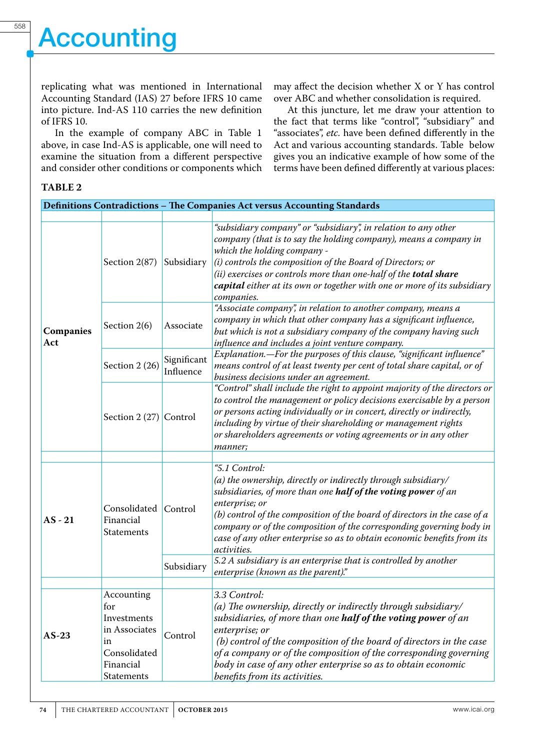replicating what was mentioned in International Accounting Standard (IAS) 27 before IFRS 10 came into picture. Ind-AS 110 carries the new definition of IFRS 10.

In the example of company ABC in Table 1 above, in case Ind-AS is applicable, one will need to examine the situation from a different perspective and consider other conditions or components which may affect the decision whether X or Y has control over ABC and whether consolidation is required.

At this juncture, let me draw your attention to the fact that terms like "control", "subsidiary" and "associates", *etc.* have been defined differently in the Act and various accounting standards. Table below gives you an indicative example of how some of the terms have been defined differently at various places:

#### **TABLE 2**

|                  |                                                                                                    |                          | <b>Definitions Contradictions - The Companies Act versus Accounting Standards</b>                                                                                                                                                                                                                                                                                                                                      |
|------------------|----------------------------------------------------------------------------------------------------|--------------------------|------------------------------------------------------------------------------------------------------------------------------------------------------------------------------------------------------------------------------------------------------------------------------------------------------------------------------------------------------------------------------------------------------------------------|
|                  |                                                                                                    |                          |                                                                                                                                                                                                                                                                                                                                                                                                                        |
| Companies<br>Act | Section $2(87)$                                                                                    | Subsidiary               | "subsidiary company" or "subsidiary", in relation to any other<br>company (that is to say the holding company), means a company in<br>which the holding company -<br>(i) controls the composition of the Board of Directors; or<br>(ii) exercises or controls more than one-half of the total share<br>capital either at its own or together with one or more of its subsidiary<br>companies.                          |
|                  | Section 2(6)                                                                                       | Associate                | "Associate company", in relation to another company, means a<br>company in which that other company has a significant influence,<br>but which is not a subsidiary company of the company having such<br>influence and includes a joint venture company.                                                                                                                                                                |
|                  | Section 2 (26)                                                                                     | Significant<br>Influence | Explanation.-For the purposes of this clause, "significant influence"<br>means control of at least twenty per cent of total share capital, or of<br>business decisions under an agreement.                                                                                                                                                                                                                             |
|                  | Section 2 (27) Control                                                                             |                          | "Control" shall include the right to appoint majority of the directors or<br>to control the management or policy decisions exercisable by a person<br>or persons acting individually or in concert, directly or indirectly,<br>including by virtue of their shareholding or management rights<br>or shareholders agreements or voting agreements or in any other<br>manner;                                            |
|                  |                                                                                                    |                          |                                                                                                                                                                                                                                                                                                                                                                                                                        |
| AS - 21          | Consolidated Control<br>Financial<br><b>Statements</b>                                             |                          | "5.1 Control:<br>(a) the ownership, directly or indirectly through subsidiary/<br>subsidiaries, of more than one half of the voting power of an<br>enterprise; or<br>(b) control of the composition of the board of directors in the case of a<br>company or of the composition of the corresponding governing body in<br>case of any other enterprise so as to obtain economic benefits from its<br>activities.       |
|                  |                                                                                                    | Subsidiary               | 5.2 A subsidiary is an enterprise that is controlled by another<br>enterprise (known as the parent)."                                                                                                                                                                                                                                                                                                                  |
| $AS-23$          | Accounting<br>for<br>Investments<br>in Associates<br>in<br>Consolidated<br>Financial<br>Statements | Control                  | 3.3 Control:<br>(a) The ownership, directly or indirectly through subsidiary/<br>subsidiaries, of more than one <b>half of the voting power</b> of an<br>enterprise; or<br>(b) control of the composition of the board of directors in the case<br>of a company or of the composition of the corresponding governing<br>body in case of any other enterprise so as to obtain economic<br>benefits from its activities. |